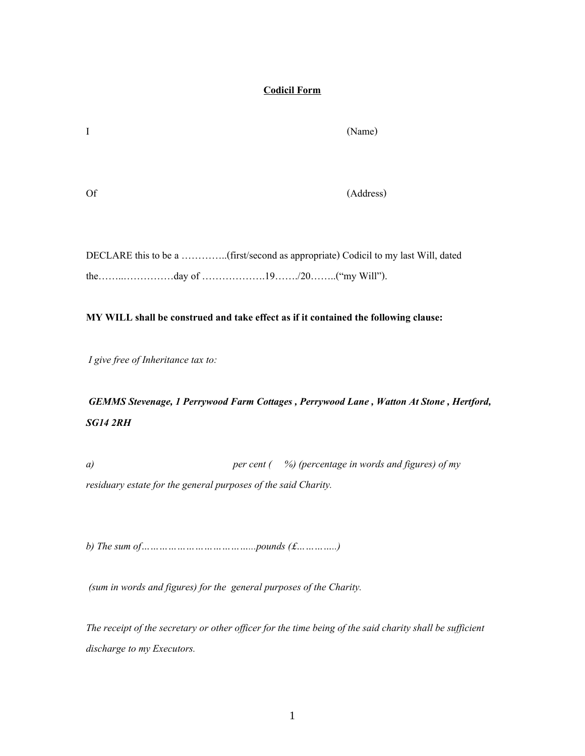## **Codicil Form**

Of (Address)

DECLARE this to be a …………..(first/second as appropriate) Codicil to my last Will, dated the……..……………day of ……………….19……./20……..("my Will").

## **MY WILL shall be construed and take effect as if it contained the following clause:**

*I give free of Inheritance tax to:*

## *GEMMS Stevenage, 1 Perrywood Farm Cottages , Perrywood Lane , Watton At Stone , Hertford, SG14 2RH*

*a) per cent ( %) (percentage in words and figures) of my residuary estate for the general purposes of the said Charity.*

*b) The sum of………………………………...pounds (£…………..)*

*(sum in words and figures) for the general purposes of the Charity.*

*The receipt of the secretary or other officer for the time being of the said charity shall be sufficient discharge to my Executors.*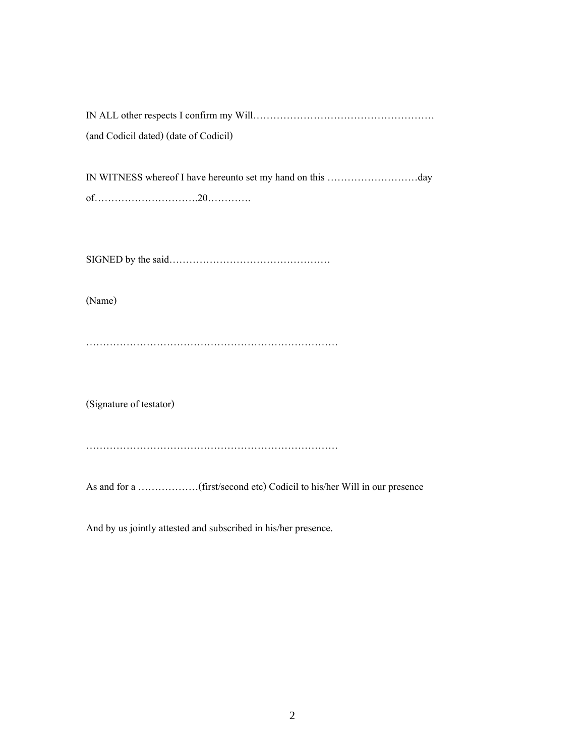| (and Codicil dated) (date of Codicil) |
|---------------------------------------|
|                                       |
|                                       |
|                                       |
|                                       |
| (Name)                                |
|                                       |
| (Signature of testator)               |
|                                       |
|                                       |

And by us jointly attested and subscribed in his/her presence.